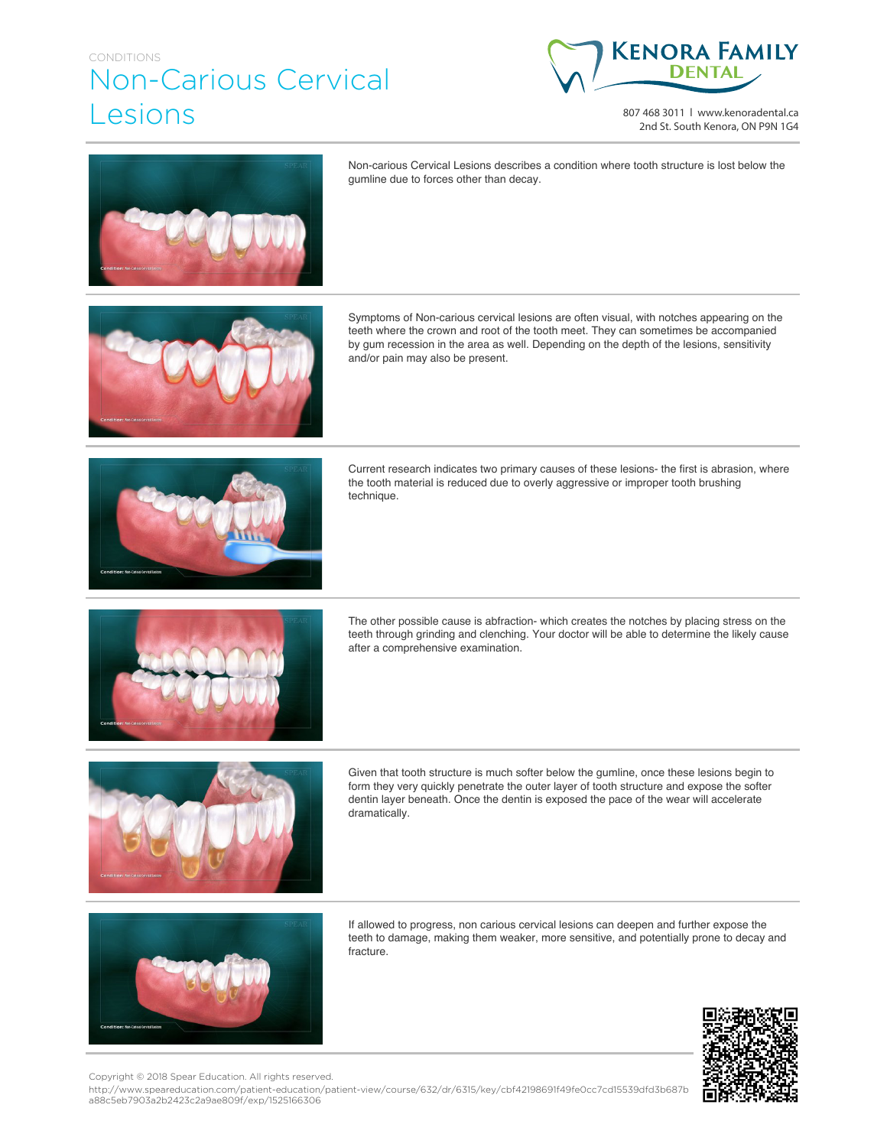## CONDITIONS Non-Carious Cervical Lesions



807 468 3011 | www.kenoradental.ca 2nd St. South Kenora, ON P9N 1G4



Non-carious Cervical Lesions describes a condition where tooth structure is lost below the gumline due to forces other than decay.



Symptoms of Non-carious cervical lesions are often visual, with notches appearing on the teeth where the crown and root of the tooth meet. They can sometimes be accompanied by gum recession in the area as well. Depending on the depth of the lesions, sensitivity and/or pain may also be present.



Current research indicates two primary causes of these lesions- the first is abrasion, where the tooth material is reduced due to overly aggressive or improper tooth brushing technique.



The other possible cause is abfraction- which creates the notches by placing stress on the teeth through grinding and clenching. Your doctor will be able to determine the likely cause after a comprehensive examination.



Given that tooth structure is much softer below the gumline, once these lesions begin to form they very quickly penetrate the outer layer of tooth structure and expose the softer dentin layer beneath. Once the dentin is exposed the pace of the wear will accelerate dramatically.



If allowed to progress, non carious cervical lesions can deepen and further expose the teeth to damage, making them weaker, more sensitive, and potentially prone to decay and fracture.



Copyright © 2018 Spear Education. All rights reserved.

http://www.speareducation.com/patient-education/patient-view/course/632/dr/6315/key/cbf42198691f49fe0cc7cd15539dfd3b687b a88c5eb7903a2b2423c2a9ae809f/exp/1525166306